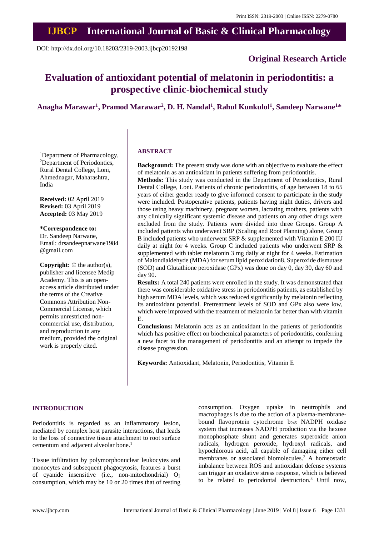# **IJBCP International Journal of Basic & Clinical Pharmacology**

DOI: http://dx.doi.org/10.18203/2319-2003.ijbcp20192198

# **Original Research Article**

# **Evaluation of antioxidant potential of melatonin in periodontitis: a prospective clinic-biochemical study**

# **Anagha Marawar<sup>1</sup> , Pramod Marawar<sup>2</sup> , D. H. Nandal<sup>1</sup> , Rahul Kunkulol<sup>1</sup> , Sandeep Narwane<sup>1</sup>\***

<sup>1</sup>Department of Pharmacology, <sup>2</sup>Department of Periodontics, Rural Dental College, Loni, Ahmednagar, Maharashtra, India

**Received:** 02 April 2019 **Revised:** 03 April 2019 **Accepted:** 03 May 2019

#### **\*Correspondence to:**

Dr. Sandeep Narwane, Email: drsandeepnarwane1984 @gmail.com

**Copyright:** © the author(s), publisher and licensee Medip Academy. This is an openaccess article distributed under the terms of the Creative Commons Attribution Non-Commercial License, which permits unrestricted noncommercial use, distribution, and reproduction in any medium, provided the original work is properly cited.

#### **ABSTRACT**

**Background:** The present study was done with an objective to evaluate the effect of melatonin as an antioxidant in patients suffering from periodontitis.

**Methods:** This study was conducted in the Department of Periodontics, Rural Dental College, Loni. Patients of chronic periodontitis, of age between 18 to 65 years of either gender ready to give informed consent to participate in the study were included. Postoperative patients, patients having night duties, drivers and those using heavy machinery, pregnant women, lactating mothers, patients with any clinically significant systemic disease and patients on any other drugs were excluded from the study. Patients were divided into three Groups. Group A included patients who underwent SRP (Scaling and Root Planning) alone, Group B included patients who underwent SRP & supplemented with Vitamin E 200 IU daily at night for 4 weeks. Group C included patients who underwent SRP & supplemented with tablet melatonin 3 mg daily at night for 4 weeks. Estimation of Malondialdehyde (MDA) for serum lipid peroxidation8, Superoxide dismutase (SOD) and Glutathione peroxidase (GPx) was done on day 0, day 30, day 60 and day 90.

**Results:** A total 240 patients were enrolled in the study. It was demonstrated that there was considerable oxidative stress in periodontitis patients, as established by high serum MDA levels, which was reduced significantly by melatonin reflecting its antioxidant potential. Pretreatment levels of SOD and GPx also were low, which were improved with the treatment of melatonin far better than with vitamin E.

**Conclusions:** Melatonin acts as an antioxidant in the patients of periodontitis which has positive effect on biochemical parameters of periodontitis, conferring a new facet to the management of periodontitis and an attempt to impede the disease progression.

**Keywords:** Antioxidant, Melatonin, Periodontitis, Vitamin E

#### **INTRODUCTION**

Periodontitis is regarded as an inflammatory lesion, mediated by complex host parasite interactions, that leads to the loss of connective tissue attachment to root surface cementum and adjacent alveolar bone.<sup>1</sup>

Tissue infiltration by polymorphonuclear leukocytes and monocytes and subsequent phagocytosis, features a burst of cyanide insensitive (i.e., non-mitochondrial)  $O_2$ consumption, which may be 10 or 20 times that of resting consumption. Oxygen uptake in neutrophils and macrophages is due to the action of a plasma-membranebound flavoprotein cytochrome  $b_{245}$  NADPH oxidase system that increases NADPH production via the hexose monophosphate shunt and generates superoxide anion radicals, hydrogen peroxide, hydroxyl radicals, and hypochlorous acid, all capable of damaging either cell membranes or associated biomolecules. <sup>2</sup> A homeostatic imbalance between ROS and antioxidant defense systems can trigger an oxidative stress response, which is believed to be related to periodontal destruction. <sup>3</sup> Until now,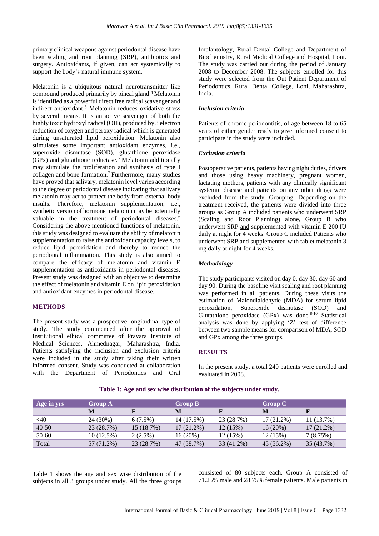primary clinical weapons against periodontal disease have been scaling and root planning (SRP), antibiotics and surgery. Antioxidants, if given, can act systemically to support the body's natural immune system.

Melatonin is a ubiquitous natural neurotransmitter like compound produced primarily by pineal gland.<sup>4</sup> Melatonin is identified as a powerful direct free radical scavenger and indirect antioxidant.<sup>5</sup> Melatonin reduces oxidative stress by several means. It is an active scavenger of both the highly toxic hydroxyl radical (OH), produced by 3 electron reduction of oxygen and peroxy radical which is generated during unsaturated lipid peroxidation. Melatonin also stimulates some important antioxidant enzymes, i.e., superoxide dismutase (SOD), glutathione peroxidase  $(GPx)$  and glutathione reductase.<sup>6</sup> Melatonin additionally may stimulate the proliferation and synthesis of type I collagen and bone formation.<sup>7</sup> Furthermore, many studies have proved that salivary, melatonin level varies according to the degree of periodontal disease indicating that salivary melatonin may act to protect the body from external body insults. Therefore, melatonin supplementation, i.e., synthetic version of hormone melatonin may be potentially valuable in the treatment of periodontal diseases.<sup>6</sup> Considering the above mentioned functions of melatonin, this study was designed to evaluate the ability of melatonin supplementation to raise the antioxidant capacity levels, to reduce lipid peroxidation and thereby to reduce the periodontal inflammation. This study is also aimed to compare the efficacy of melatonin and vitamin E supplementation as antioxidants in periodontal diseases. Present study was designed with an objective to determine the effect of melatonin and vitamin E on lipid peroxidation and antioxidant enzymes in periodontal disease.

## **METHODS**

The present study was a prospective longitudinal type of study. The study commenced after the approval of Institutional ethical committee of Pravara Institute of Medical Sciences, Ahmednagar, Maharashtra, India. Patients satisfying the inclusion and exclusion criteria were included in the study after taking their written informed consent. Study was conducted at collaboration with the Department of Periodontics and Oral Implantology, Rural Dental College and Department of Biochemistry, Rural Medical College and Hospital, Loni. The study was carried out during the period of January 2008 to December 2008. The subjects enrolled for this study were selected from the Out Patient Department of Periodontics, Rural Dental College, Loni, Maharashtra, India.

### *Inclusion criteria*

Patients of chronic periodontitis, of age between 18 to 65 years of either gender ready to give informed consent to participate in the study were included.

#### *Exclusion criteria*

Postoperative patients, patients having night duties, drivers and those using heavy machinery, pregnant women, lactating mothers, patients with any clinically significant systemic disease and patients on any other drugs were excluded from the study. Grouping: Depending on the treatment received, the patients were divided into three groups as Group A included patients who underwent SRP (Scaling and Root Planning) alone, Group B who underwent SRP and supplemented with vitamin E 200 IU daily at night for 4 weeks. Group C included Patients who underwent SRP and supplemented with tablet melatonin 3 mg daily at night for 4 weeks.

## *Methodology*

The study participants visited on day 0, day 30, day 60 and day 90. During the baseline visit scaling and root planning was performed in all patients. During these visits the estimation of Malondialdehyde (MDA) for serum lipid peroxidation, Superoxide dismutase (SOD) and Glutathione peroxidase  $(GPx)$  was done.<sup>8-10</sup> Statistical analysis was done by applying 'Z' test of difference between two sample means for comparison of MDA, SOD and GPx among the three groups.

#### **RESULTS**

In the present study, a total 240 patients were enrolled and evaluated in 2008.

| Age in yrs | <b>Group A</b> |            | Group B      |            | <b>Group C</b> |              |
|------------|----------------|------------|--------------|------------|----------------|--------------|
|            | M              |            | M            |            | M              |              |
| $<$ 40     | 24 (30%)       | 6(7.5%)    | 14 (17.5%)   | 23 (28.7%) | $17(21.2\%)$   | 11 (13.7%)   |
| $40 - 50$  | 23 (28.7%)     | 15 (18.7%) | $17(21.2\%)$ | 12(15%)    | 16(20%)        | $17(21.2\%)$ |
| 50-60      | $10(12.5\%)$   | $2(2.5\%)$ | 16(20%)      | 12(15%)    | 12(15%)        | 7(8.75%)     |
| Total      | 57 (71.2%)     | 23 (28.7%) | 47 (58.7%)   | 33 (41.2%) | 45 (56.2%)     | 35 (43.7%)   |

**Table 1: Age and sex wise distribution of the subjects under study.**

Table 1 shows the age and sex wise distribution of the subjects in all 3 groups under study. All the three groups consisted of 80 subjects each. Group A consisted of 71.25% male and 28.75% female patients. Male patients in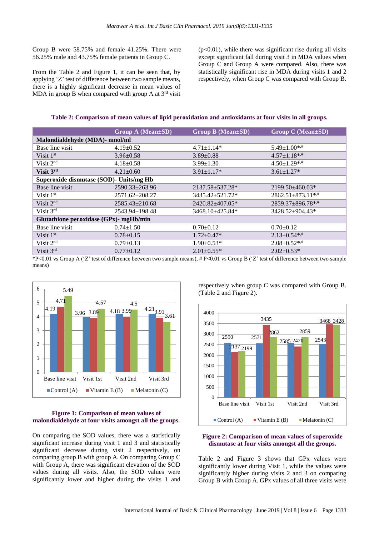Group B were 58.75% and female 41.25%. There were 56.25% male and 43.75% female patients in Group C.

From the Table 2 and Figure 1, it can be seen that, by applying 'Z' test of difference between two sample means, there is a highly significant decrease in mean values of MDA in group B when compared with group A at  $3<sup>rd</sup>$  visit

 $(p<0.01)$ , while there was significant rise during all visits except significant fall during visit 3 in MDA values when Group C and Group A were compared. Also, there was statistically significant rise in MDA during visits 1 and 2 respectively, when Group C was compared with Group B.

**Table 2: Comparison of mean values of lipid peroxidation and antioxidants at four visits in all groups.**

|                                         | <b>Group A (Mean±SD)</b> | <b>Group B (Mean±SD)</b> | <b>Group C</b> (Mean±SD)            |  |  |  |  |  |
|-----------------------------------------|--------------------------|--------------------------|-------------------------------------|--|--|--|--|--|
| Malondialdehyde (MDA)- nmol/ml          |                          |                          |                                     |  |  |  |  |  |
| Base line visit                         | $4.19 \pm 0.52$          | $4.71 \pm 1.14*$         | $5.49 \pm 1.00$ **                  |  |  |  |  |  |
| Visit $1st$                             | $3.96 \pm 0.58$          | $3.89 \pm 0.88$          | $4.57 \pm 1.18$ **                  |  |  |  |  |  |
| Visit $2nd$                             | $4.18 \pm 0.58$          | $3.99 \pm 1.30$          | $4.50 \pm 1.29$ **                  |  |  |  |  |  |
| Visit 3rd                               | $4.21 \pm 0.60$          | $3.91 \pm 1.17*$         | $3.61 \pm 1.27$ *                   |  |  |  |  |  |
| Superoxide dismutase (SOD)- Units/mg Hb |                          |                          |                                     |  |  |  |  |  |
| Base line visit                         | $2590.33 \pm 263.96$     | 2137.58±537.28*          | $2199.50 \pm 460.03*$               |  |  |  |  |  |
| Visit $1st$                             | $2571.62 \pm 208.27$     | 3435.42±521.72*          | $2862.51 \pm 873.11$ * <sup>*</sup> |  |  |  |  |  |
| Visit 2 <sup>nd</sup>                   | $2585.43 \pm 210.68$     | 2420.82±407.05*          | 2859.37±896.78**                    |  |  |  |  |  |
| Visit 3rd                               | $2543.94 \pm 198.48$     | 3468.10±425.84*          | 3428.52±904.43*                     |  |  |  |  |  |
| Glutathione peroxidase (GPx)- mgHb/min  |                          |                          |                                     |  |  |  |  |  |
| Base line visit                         | $0.74 \pm 1.50$          | $0.70 \pm 0.12$          | $0.70 \pm 0.12$                     |  |  |  |  |  |
| Visit $1st$                             | $0.78 \pm 0.15$          | $1.72 \pm 0.47*$         | $2.13 \pm 0.54$ **                  |  |  |  |  |  |
| Visit $2nd$                             | $0.79 \pm 0.13$          | $1.90 \pm 0.53*$         | $2.08 \pm 0.52$ **                  |  |  |  |  |  |
| Visit 3rd                               | $0.77 \pm 0.12$          | $2.01 \pm 0.55$ *        | $2.02 \pm 0.53*$                    |  |  |  |  |  |

\*P<0.01 vs Group A ('Z' test of difference between two sample means), # P<0.01 vs Group B ('Z' test of difference between two sample means)



#### **Figure 1: Comparison of mean values of malondialdehyde at four visits amongst all the groups.**

On comparing the SOD values, there was a statistically significant increase during visit 1 and 3 and statistically significant decrease during visit 2 respectively, on comparing group B with group A. On comparing Group C with Group A, there was significant elevation of the SOD values during all visits. Also, the SOD values were significantly lower and higher during the visits 1 and respectively when group C was compared with Group B. (Table 2 and Figure 2).



#### **Figure 2: Comparison of mean values of superoxide dismutase at four visits amongst all the groups.**

Table 2 and Figure 3 shows that GPx values were significantly lower during Visit 1, while the values were significantly higher during visits 2 and 3 on comparing Group B with Group A. GPx values of all three visits were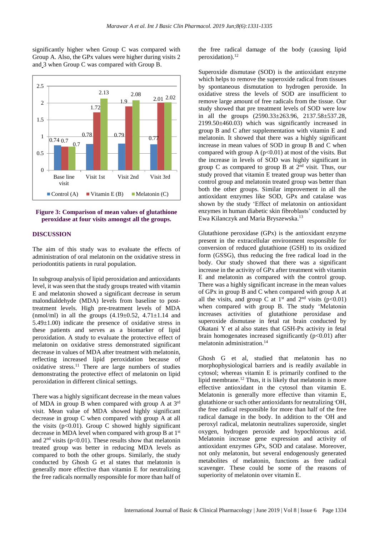significantly higher when Group C was compared with Group A. Also, the GPx values were higher during visits 2 and 3 when Group C was compared with Group B.



#### **Figure 3: Comparison of mean values of glutathione peroxidase at four visits amongst all the groups.**

## **DISCUSSION**

The aim of this study was to evaluate the effects of administration of oral melatonin on the oxidative stress in periodontitis patients in rural population.

In subgroup analysis of lipid peroxidation and antioxidants level, it was seen that the study groups treated with vitamin E and melatonin showed a significant decrease in serum malondialdehyde (MDA) levels from baseline to posttreatment levels. High pre-treatment levels of MDA (nmol/ml) in all the groups  $(4.19 \pm 0.52, 4.71 \pm 1.14)$  and  $5.49 \pm 1.00$ ) indicate the presence of oxidative stress in these patients and serves as a biomarker of lipid peroxidation. A study to evaluate the protective effect of melatonin on oxidative stress demonstrated significant decrease in values of MDA after treatment with melatonin, reflecting increased lipid peroxidation because of oxidative stress.<sup>11</sup> There are large numbers of studies demonstrating the protective effect of melatonin on lipid peroxidation in different clinical settings.

There was a highly significant decrease in the mean values of MDA in group B when compared with group A at 3<sup>rd</sup> visit. Mean value of MDA showed highly significant decrease in group C when compared with group A at all the visits  $(p<0.01)$ . Group C showed highly significant decrease in MDA level when compared with group B at 1st and  $2<sup>nd</sup>$  visits (p<0.01). These results show that melatonin treated group was better in reducing MDA levels as compared to both the other groups. Similarly, the study conducted by Ghosh G et al states that melatonin is generally more effective than vitamin E for neutralizing the free radicals normally responsible for more than half of the free radical damage of the body (causing lipid peroxidation).<sup>12</sup>

Superoxide dismutase (SOD) is the antioxidant enzyme which helps to remove the superoxide radical from tissues by spontaneous dismutation to hydrogen peroxide. In oxidative stress the levels of SOD are insufficient to remove large amount of free radicals from the tissue. Our study showed that pre treatment levels of SOD were low in all the groups (2590.33±263.96, 2137.58±537.28, 2199.50±460.03) which was significantly increased in group B and C after supplementation with vitamin E and melatonin. It showed that there was a highly significant increase in mean values of SOD in group B and C when compared with group A  $(p<0.01)$  at most of the visits. But the increase in levels of SOD was highly significant in group C as compared to group B at  $2<sup>nd</sup>$  visit. Thus, our study proved that vitamin E treated group was better than control group and melatonin treated group was better than both the other groups. Similar improvement in all the antioxidant enzymes like SOD, GPx and catalase was shown by the study 'Effect of melatonin on antioxidant enzymes in human diabetic skin fibroblasts' conducted by Ewa Kilanczyk and Maria Bryszewska.<sup>13</sup>

Glutathione peroxidase (GPx) is the antioxidant enzyme present in the extracellular environment responsible for conversion of reduced glutathione (GSH) to its oxidized form (GSSG), thus reducing the free radical load in the body. Our study showed that there was a significant increase in the activity of GPx after treatment with vitamin E and melatonin as compared with the control group. There was a highly significant increase in the mean values of GPx in group B and C when compared with group A at all the visits, and group C at  $1<sup>st</sup>$  and  $2<sup>nd</sup>$  visits (p<0.01) when compared with group B. The study 'Melatonin increases activities of glutathione peroxidase and superoxide dismutase in fetal rat brain conducted by Okatani Y et al also states that GSH-Px activity in fetal brain homogenates increased significantly  $(p<0.01)$  after melatonin administration.<sup>14</sup>

Ghosh G et al, studied that melatonin has no morphophysiological barriers and is readily available in cytosol; whereas vitamin E is primarily confined to the lipid membrane.<sup>12</sup> Thus, it is likely that melatonin is more effective antioxidant in the cytosol than vitamin E. Melatonin is generally more effective than vitamin E, glutathione or such other antioxidantsfor neutralizing **.**OH, the free radical responsible for more than half of the free radical damage in the body. In addition to the **.**OH and peroxyl radical, melatonin neutralizes superoxide, singlet oxygen, hydrogen peroxide and hypochlorous acid. Melatonin increase gene expression and activity of antioxidant enzymes GPx, SOD and catalase. Moreover, not only melatonin, but several endogenously generated metabolites of melatonin, functions as free radical scavenger. These could be some of the reasons of superiority of melatonin over vitamin E.